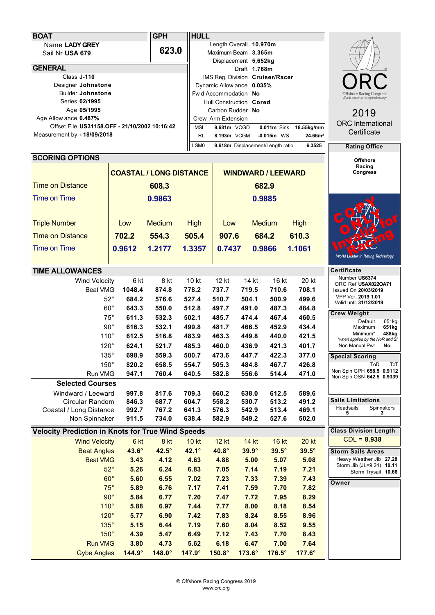| <b>BOAT</b>                                                                               |                                                | <b>GPH</b>           | <b>HULL</b>          |                              |                                                   |                                         |                                  |                              |                                                      |
|-------------------------------------------------------------------------------------------|------------------------------------------------|----------------------|----------------------|------------------------------|---------------------------------------------------|-----------------------------------------|----------------------------------|------------------------------|------------------------------------------------------|
|                                                                                           | Name LADY GREY                                 |                      |                      |                              | Length Overall 10.970m                            |                                         |                                  |                              |                                                      |
|                                                                                           | Sail Nr USA 679                                |                      | 623.0                |                              | Maximum Beam 3.365m                               |                                         |                                  |                              |                                                      |
|                                                                                           |                                                |                      |                      |                              | Displacement 5,652kg                              |                                         |                                  |                              |                                                      |
|                                                                                           | <b>GENERAL</b>                                 |                      |                      |                              |                                                   | Draft 1.768m                            |                                  |                              |                                                      |
|                                                                                           | Class J-110                                    |                      |                      |                              | IMS Reg. Division Cruiser/Racer                   |                                         |                                  |                              |                                                      |
|                                                                                           | Designer Johnstone<br><b>Builder Johnstone</b> |                      |                      |                              | Dynamic Allow ance 0.035%<br>Fwd Accommodation No | Offshore Racing Congre                  |                                  |                              |                                                      |
|                                                                                           | Series 02/1995                                 |                      |                      |                              | Hull Construction Cored                           | World leader in rating technology       |                                  |                              |                                                      |
|                                                                                           | Age 05/1995                                    |                      |                      |                              | Carbon Rudder No                                  |                                         | 2019                             |                              |                                                      |
|                                                                                           | Age Allow ance 0.487%                          |                      |                      |                              | Crew Arm Extension                                |                                         |                                  |                              |                                                      |
|                                                                                           | Offset File US31158.OFF - 21/10/2002 10:16:42  |                      |                      |                              | 9.681m VCGD                                       | <b>ORC</b> International<br>Certificate |                                  |                              |                                                      |
|                                                                                           | Measurement by - 18/09/2018                    |                      | <b>RL</b>            | 8.193m VCGM                  |                                                   | $-0.015m$ WS                            | 24.66m <sup>2</sup>              |                              |                                                      |
|                                                                                           |                                                |                      |                      | LSM <sub>0</sub>             |                                                   |                                         | 9.618m Displacement/Length ratio | 6.3525                       | <b>Rating Office</b>                                 |
|                                                                                           | <b>SCORING OPTIONS</b>                         |                      |                      |                              |                                                   |                                         | <b>Offshore</b>                  |                              |                                                      |
|                                                                                           |                                                |                      |                      |                              | Racing                                            |                                         |                                  |                              |                                                      |
| <b>COASTAL / LONG DISTANCE</b>                                                            |                                                |                      |                      | <b>WINDWARD / LEEWARD</b>    |                                                   |                                         |                                  |                              | <b>Congress</b>                                      |
|                                                                                           | <b>Time on Distance</b>                        |                      | 608.3                | 682.9                        |                                                   |                                         |                                  |                              |                                                      |
|                                                                                           | <b>Time on Time</b>                            |                      | 0.9863               | 0.9885                       |                                                   |                                         |                                  |                              |                                                      |
|                                                                                           |                                                |                      |                      |                              |                                                   |                                         |                                  |                              |                                                      |
|                                                                                           |                                                | Low                  | <b>Medium</b>        |                              |                                                   |                                         | <b>Medium</b>                    |                              |                                                      |
|                                                                                           | <b>Triple Number</b>                           |                      |                      | <b>High</b>                  | Low                                               |                                         |                                  | <b>High</b>                  |                                                      |
|                                                                                           | <b>Time on Distance</b>                        | 702.2                | 554.3                | 505.4                        | 907.6                                             |                                         | 684.2                            | 610.3                        |                                                      |
|                                                                                           | <b>Time on Time</b>                            | 0.9612               | 1.2177               | 1.3357                       | 0.7437                                            |                                         | 0.9866                           | 1.1061                       |                                                      |
|                                                                                           |                                                |                      |                      |                              |                                                   |                                         |                                  |                              | World Leader In Rating Technology                    |
|                                                                                           | <b>TIME ALLOWANCES</b>                         |                      |                      |                              |                                                   |                                         |                                  |                              | <b>Certificate</b>                                   |
|                                                                                           | <b>Wind Velocity</b>                           | 6 kt                 | 8 kt                 | 10 kt                        | 12 kt                                             | 14 kt                                   | 16 kt                            | 20 kt                        | Number US6374<br>ORC Ref USAX022OA71                 |
|                                                                                           | <b>Beat VMG</b>                                | 1048.4               | 874.8                | 778.2                        | 737.7                                             | 719.5                                   | 710.6                            | 708.1                        | Issued On 20/03/2019                                 |
|                                                                                           | $52^{\circ}$                                   | 684.2                | 576.6                | 527.4                        | 510.7                                             | 504.1                                   | 500.9                            | 499.6                        | VPP Ver. 2019 1.01<br>Valid until 31/12/2019         |
|                                                                                           | $60^{\circ}$                                   | 643.3                | 550.0                | 512.8                        | 497.7                                             | 491.0                                   | 487.3                            | 484.8                        | <b>Crew Weight</b>                                   |
|                                                                                           | $75^{\circ}$                                   | 611.3                | 532.3                | 502.1                        | 485.7                                             | 474.4                                   | 467.4                            | 460.5                        | Default<br>651kg                                     |
|                                                                                           | $90^{\circ}$                                   | 616.3                | 532.1                | 499.8                        | 481.7                                             | 466.5                                   | 452.9                            | 434.4                        | 651kg<br>Maximum                                     |
|                                                                                           | $110^\circ$                                    | 612.5                | 516.8                | 483.9                        | 463.3                                             | 449.8                                   | 440.0                            | 421.5                        | Minimum*<br>488kg<br>*when applied by the NoR and SI |
|                                                                                           | $120^\circ$                                    | 624.1                | 521.7                | 485.3                        | 460.0                                             | 436.9                                   | 421.3                            | 401.7                        | Non Manual Pwr<br>No                                 |
|                                                                                           | 135°                                           | 698.9                | 559.3                | 500.7                        | 473.6                                             | 447.7                                   | 422.3                            | 377.0                        | <b>Special Scoring</b>                               |
|                                                                                           | $150^\circ$                                    | 820.2                | 658.5                | 554.7                        | 505.3                                             | 484.8                                   | 467.7                            | 426.8                        | ToD<br>ToT<br>Non Spin GPH 658.5 0.9112              |
|                                                                                           | Run VMG                                        | 947.1                | 760.4                | 640.5                        | 582.8                                             | 556.6                                   | 514.4                            | 471.0                        | Non Spin OSN 642.5 0.9339                            |
| <b>Selected Courses</b>                                                                   |                                                |                      |                      |                              |                                                   |                                         |                                  |                              |                                                      |
|                                                                                           | Windward / Leeward                             | 997.8                | 817.6                | 709.3                        | 660.2                                             | 638.0                                   | 612.5                            | 589.6                        | <b>Sails Limitations</b>                             |
|                                                                                           | Circular Random<br>Coastal / Long Distance     | 846.3<br>992.7       | 687.7<br>767.2       | 604.7<br>641.3               | 558.2<br>576.3                                    | 530.7<br>542.9                          | 513.2<br>513.4                   | 491.2<br>469.1               | Headsails<br>Spinnakers                              |
|                                                                                           | Non Spinnaker                                  | 911.5                | 734.0                | 638.4                        | 582.9                                             | 549.2                                   | 527.6                            | 502.0                        | 5<br>3                                               |
|                                                                                           |                                                |                      |                      |                              |                                                   |                                         |                                  |                              | <b>Class Division Length</b>                         |
| <b>Velocity Prediction in Knots for True Wind Speeds</b><br><b>Wind Velocity</b><br>16 kt |                                                |                      |                      |                              |                                                   |                                         |                                  | $CDL = 8.938$                |                                                      |
|                                                                                           | <b>Beat Angles</b>                             | 6 kt<br>$43.6^\circ$ | 8 kt<br>$42.5^\circ$ | <b>10 kt</b><br>$42.1^\circ$ | <b>12 kt</b><br>40.8°                             | 14 kt<br>$39.9^\circ$                   | $39.5^\circ$                     | <b>20 kt</b><br>$39.5^\circ$ |                                                      |
|                                                                                           | <b>Beat VMG</b>                                |                      |                      |                              | 4.88                                              |                                         |                                  |                              | <b>Storm Sails Areas</b><br>Heavy Weather Jib 27.28  |
|                                                                                           | $52^\circ$                                     | 3.43<br>5.26         | 4.12<br>6.24         | 4.63<br>6.83                 | 7.05                                              | 5.00<br>7.14                            | 5.07<br>7.19                     | 5.08<br>7.21                 | Storm Jib (JL=9.24) 10.11                            |
|                                                                                           | $60^\circ$                                     | 5.60                 | 6.55                 | 7.02                         | 7.23                                              | 7.33                                    | 7.39                             | 7.43                         | Storm Trysail 10.66                                  |
|                                                                                           | $75^\circ$                                     | 5.89                 | 6.76                 | 7.17                         | 7.41                                              | 7.59                                    | 7.70                             | 7.82                         | Owner                                                |
|                                                                                           | $90^\circ$                                     | 5.84                 | 6.77                 | 7.20                         | 7.47                                              | 7.72                                    | 7.95                             | 8.29                         |                                                      |
|                                                                                           | $110^\circ$                                    | 5.88                 | 6.97                 | 7.44                         | 7.77                                              | 8.00                                    | 8.18                             | 8.54                         |                                                      |
|                                                                                           | $120^\circ$                                    | 5.77                 | 6.90                 | 7.42                         | 7.83                                              | 8.24                                    | 8.55                             | 8.96                         |                                                      |
|                                                                                           | $135^\circ$                                    | 5.15                 | 6.44                 | 7.19                         | 7.60                                              | 8.04                                    | 8.52                             | 9.55                         |                                                      |
|                                                                                           | $150^\circ$                                    | 4.39                 | 5.47                 | 6.49                         | 7.12                                              | 7.43                                    | 7.70                             | 8.43                         |                                                      |
|                                                                                           | <b>Run VMG</b>                                 | 3.80                 | 4.73                 | 5.62                         | 6.18                                              | 6.47                                    | 7.00                             | 7.64                         |                                                      |
|                                                                                           | <b>Gybe Angles</b>                             | $144.9^\circ$        | $148.0^\circ$        | 147.9°                       | 150.8°                                            | 173.6°                                  | 176.5°                           | 177.6°                       |                                                      |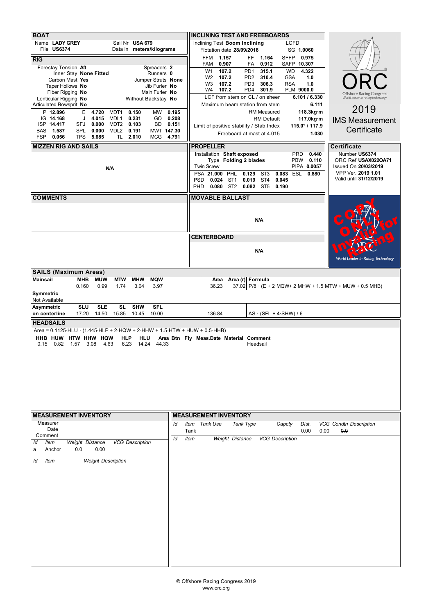| <b>BOAT</b>                                                                                                                                                              | <b>INCLINING TEST AND FREEBOARDS</b>                                                                                                                                            |  |  |  |  |  |  |  |
|--------------------------------------------------------------------------------------------------------------------------------------------------------------------------|---------------------------------------------------------------------------------------------------------------------------------------------------------------------------------|--|--|--|--|--|--|--|
| Name LADY GREY<br>Sail Nr USA 679<br>File US6374<br>Data in meters/kilograms                                                                                             | <b>LCFD</b><br>Inclining Test Boom Inclining<br>SG 1.0060<br>Flotation date 28/09/2018                                                                                          |  |  |  |  |  |  |  |
| RIG                                                                                                                                                                      | 1.157<br>FF.<br>1.164<br><b>FFM</b><br><b>SFFP</b><br>0.975                                                                                                                     |  |  |  |  |  |  |  |
| Forestay Tension Aft<br>Spreaders 2                                                                                                                                      | 0.907<br>0.912<br>SAFP 10.307<br>FAM<br>FA                                                                                                                                      |  |  |  |  |  |  |  |
| Inner Stay None Fitted<br>Runners 0                                                                                                                                      | 107.2<br>PD <sub>1</sub><br>315.1<br><b>WD</b><br>4.322<br>W <sub>1</sub><br>107.2<br>310.4<br><b>GSA</b><br>1.0<br>W <sub>2</sub><br>PD <sub>2</sub>                           |  |  |  |  |  |  |  |
| Carbon Mast Yes<br>Jumper Struts None<br>Taper Hollows No<br>Jib Furler No                                                                                               | 107.2<br>1.0<br>W <sub>3</sub><br>PD <sub>3</sub><br>306.3<br><b>RSA</b>                                                                                                        |  |  |  |  |  |  |  |
| Fiber Rigging No<br>Main Furler No                                                                                                                                       | 107.2<br>301.9<br>PLM 9000.0<br>W4<br>PD4<br>Offshore Racing Congress                                                                                                           |  |  |  |  |  |  |  |
| Lenticular Rigging No<br>Without Backstay No                                                                                                                             | LCF from stem on CL / on sheer<br>6.101 / 6.330<br>World leader in rating technology                                                                                            |  |  |  |  |  |  |  |
| Articulated Bowsprit No                                                                                                                                                  | 6.111<br>Maximum beam station from stem<br>2019<br>118.3kg·m<br><b>RM Measured</b>                                                                                              |  |  |  |  |  |  |  |
| P 12.896<br>MDT1<br>0.150<br>MW<br>0.195<br>Е<br>4.720<br>IG 14.168<br>0.231<br>0.208<br>J<br>4.015<br>MDL1<br>GO.                                                       | <b>RM Default</b><br>117.0kg·m<br><b>IMS Measurement</b>                                                                                                                        |  |  |  |  |  |  |  |
| ISP 14.417<br>SFJ<br>0.000<br>MDT2<br>0.103<br>BD<br>0.151                                                                                                               | 115.0° / 117.9<br>Limit of positive stability / Stab. Index                                                                                                                     |  |  |  |  |  |  |  |
| 0.191<br><b>BAS</b><br>1.587<br><b>SPL</b><br>0.000<br>MDL <sub>2</sub><br>MWT 147.30<br><b>FSP</b><br>TL 2.010<br>4.791<br>0.056<br><b>TPS</b><br>5.685<br><b>MCG</b>   | Certificate<br>Freeboard at mast at 4.015<br>1.030                                                                                                                              |  |  |  |  |  |  |  |
| <b>MIZZEN RIG AND SAILS</b>                                                                                                                                              | <b>PROPELLER</b><br><b>Certificate</b>                                                                                                                                          |  |  |  |  |  |  |  |
|                                                                                                                                                                          | Installation Shaft exposed<br>0.440<br>Number US6374<br><b>PRD</b>                                                                                                              |  |  |  |  |  |  |  |
|                                                                                                                                                                          | Type Folding 2 blades<br>0.110<br>ORC Ref USAX022OA71<br><b>PBW</b>                                                                                                             |  |  |  |  |  |  |  |
| N/A                                                                                                                                                                      | <b>Twin Screw</b><br>PIPA 0.0057<br>Issued On 20/03/2019<br>VPP Ver. 2019 1.01                                                                                                  |  |  |  |  |  |  |  |
|                                                                                                                                                                          | PHL<br>PSA 21.000<br>0.129<br>ST <sub>3</sub><br>ESL<br>0.880<br>0.083<br>Valid until 31/12/2019<br>0.024<br>ST <sub>1</sub><br>0.019<br>ST <sub>4</sub><br>0.045<br><b>PSD</b> |  |  |  |  |  |  |  |
|                                                                                                                                                                          | <b>PHD</b><br>0.080 ST2 0.082 ST5<br>0.190                                                                                                                                      |  |  |  |  |  |  |  |
| <b>COMMENTS</b>                                                                                                                                                          | <b>MOVABLE BALLAST</b>                                                                                                                                                          |  |  |  |  |  |  |  |
|                                                                                                                                                                          |                                                                                                                                                                                 |  |  |  |  |  |  |  |
|                                                                                                                                                                          |                                                                                                                                                                                 |  |  |  |  |  |  |  |
|                                                                                                                                                                          | N/A                                                                                                                                                                             |  |  |  |  |  |  |  |
|                                                                                                                                                                          |                                                                                                                                                                                 |  |  |  |  |  |  |  |
|                                                                                                                                                                          | <b>CENTERBOARD</b>                                                                                                                                                              |  |  |  |  |  |  |  |
|                                                                                                                                                                          |                                                                                                                                                                                 |  |  |  |  |  |  |  |
|                                                                                                                                                                          | N/A<br><b>World Leader In Rating Technology</b>                                                                                                                                 |  |  |  |  |  |  |  |
|                                                                                                                                                                          |                                                                                                                                                                                 |  |  |  |  |  |  |  |
| <b>SAILS (Maximum Areas)</b>                                                                                                                                             |                                                                                                                                                                                 |  |  |  |  |  |  |  |
| <b>Mainsail</b><br><b>MHB</b><br><b>MUW</b><br><b>MTW</b><br><b>MHW</b><br><b>MQW</b><br>3.97                                                                            | Area (r) Formula<br>Area<br>36.23                                                                                                                                               |  |  |  |  |  |  |  |
| 0.99<br>0.160<br>1.74<br>3.04<br>Symmetric                                                                                                                               | 37.02 P/8 · (E + 2 MQW+ 2 MHW + 1.5 MTW + MUW + 0.5 MHB)                                                                                                                        |  |  |  |  |  |  |  |
| Not Available                                                                                                                                                            |                                                                                                                                                                                 |  |  |  |  |  |  |  |
| <b>SLE</b><br><b>SL</b><br><b>SHW</b><br><b>SFL</b><br><b>Asymmetric</b><br><b>SLU</b>                                                                                   |                                                                                                                                                                                 |  |  |  |  |  |  |  |
| 17.20<br>15.85<br>10.00<br>on centerline<br>14.50<br>10.45                                                                                                               | 136.84<br>$AS \cdot (SFL + 4 \cdot SHW) / 6$                                                                                                                                    |  |  |  |  |  |  |  |
| <b>HEADSAILS</b>                                                                                                                                                         |                                                                                                                                                                                 |  |  |  |  |  |  |  |
| Area = $0.1125$ HLU $\cdot$ (1.445 HLP + 2 HQW + 2 HHW + 1.5 HTW + HUW + 0.5 HHB)<br>HHB HUW HTW HHW HQW<br><b>HLP</b><br>HLU<br>Area Btn Fly Meas.Date Material Comment |                                                                                                                                                                                 |  |  |  |  |  |  |  |
| 0.82<br>3.08<br>6.23<br>14.24<br>0.15<br>1.57<br>4.63<br>44.33                                                                                                           | Headsail                                                                                                                                                                        |  |  |  |  |  |  |  |
|                                                                                                                                                                          |                                                                                                                                                                                 |  |  |  |  |  |  |  |
|                                                                                                                                                                          |                                                                                                                                                                                 |  |  |  |  |  |  |  |
|                                                                                                                                                                          |                                                                                                                                                                                 |  |  |  |  |  |  |  |
|                                                                                                                                                                          |                                                                                                                                                                                 |  |  |  |  |  |  |  |
|                                                                                                                                                                          |                                                                                                                                                                                 |  |  |  |  |  |  |  |
|                                                                                                                                                                          |                                                                                                                                                                                 |  |  |  |  |  |  |  |
|                                                                                                                                                                          |                                                                                                                                                                                 |  |  |  |  |  |  |  |
| <b>MEASUREMENT INVENTORY</b>                                                                                                                                             | <b>MEASUREMENT INVENTORY</b>                                                                                                                                                    |  |  |  |  |  |  |  |
| Measurer<br>Id                                                                                                                                                           | Item Tank Use<br>Tank Type<br>Capcty<br><b>VCG Condtn Description</b><br>Dist.                                                                                                  |  |  |  |  |  |  |  |
| Date                                                                                                                                                                     | Tank<br>0.00<br>0.00<br>0.0                                                                                                                                                     |  |  |  |  |  |  |  |
| Comment<br>ld                                                                                                                                                            |                                                                                                                                                                                 |  |  |  |  |  |  |  |
|                                                                                                                                                                          | Weight Distance<br><b>VCG Description</b><br><b>Item</b>                                                                                                                        |  |  |  |  |  |  |  |
| <b>VCG Description</b><br>Weight Distance<br>ld<br><b>Item</b><br>0.0<br>0.00<br>Anchor<br>a                                                                             |                                                                                                                                                                                 |  |  |  |  |  |  |  |
|                                                                                                                                                                          |                                                                                                                                                                                 |  |  |  |  |  |  |  |
| <b>Weight Description</b><br>ld<br>Item                                                                                                                                  |                                                                                                                                                                                 |  |  |  |  |  |  |  |
|                                                                                                                                                                          |                                                                                                                                                                                 |  |  |  |  |  |  |  |
|                                                                                                                                                                          |                                                                                                                                                                                 |  |  |  |  |  |  |  |
|                                                                                                                                                                          |                                                                                                                                                                                 |  |  |  |  |  |  |  |
|                                                                                                                                                                          |                                                                                                                                                                                 |  |  |  |  |  |  |  |
|                                                                                                                                                                          |                                                                                                                                                                                 |  |  |  |  |  |  |  |
|                                                                                                                                                                          |                                                                                                                                                                                 |  |  |  |  |  |  |  |
|                                                                                                                                                                          |                                                                                                                                                                                 |  |  |  |  |  |  |  |
|                                                                                                                                                                          |                                                                                                                                                                                 |  |  |  |  |  |  |  |
|                                                                                                                                                                          |                                                                                                                                                                                 |  |  |  |  |  |  |  |
|                                                                                                                                                                          |                                                                                                                                                                                 |  |  |  |  |  |  |  |